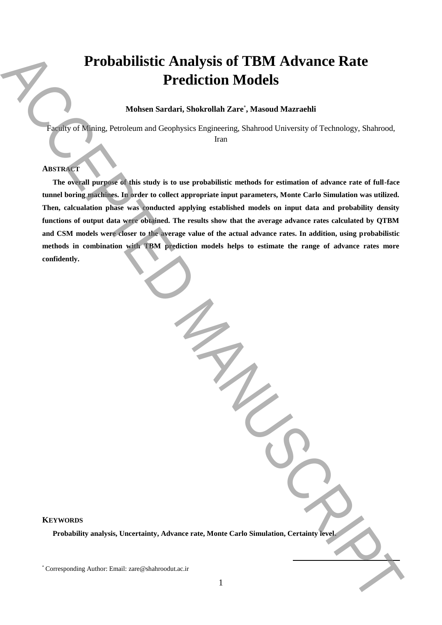# **Probabilistic Analysis of TBM Advance Rate Prediction Models**

### **Mohsen Sardari, Shokrollah Zare**\* **, Masoud Mazraehli**

Faculty of Mining, Petroleum and Geophysics Engineering, Shahrood University of Technology, Shahrood, Iran

#### **ABSTRACT**

**The overall purpose of this study is to use probabilistic methods for estimation of advance rate of full-face tunnel boring machines. In order to collect appropriate input parameters, Monte Carlo Simulation was utilized. Then, calcualation phase was conducted applying established models on input data and probability density functions of output data were obtained. The results show that the average advance rates calculated by QTBM and CSM models were closer to the average value of the actual advance rates. In addition, using probabilistic methods in combination with TBM prediction models helps to estimate the range of advance rates more confidently. Example and Corresponding Author: Example and Corresponding Author: Example and Corresponding Author: Also and Manuscript of Technology, Studience, American Corresponding Author: Accept and Corresponding Author: Accept an** 

## **KEYWORDS**

**Probability analysis, Uncertainty, Advance rate, Monte Carlo Simulation, Certainty level.** 

**.**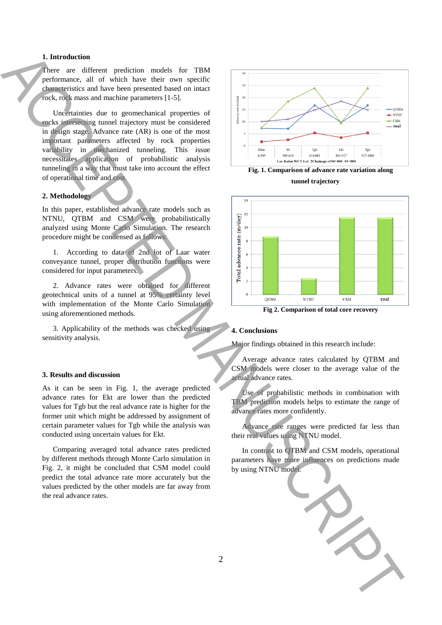#### **1. Introduction**

There are different prediction models for TBM performance, all of which have their own specific characteristics and have been presented based on intact rock, rock mass and machine parameters [1-5].

Uncertainties due to geomechanical properties of rocks intersecting tunnel trajectory must be considered in design stage. Advance rate (AR) is one of the most important parameters affected by rock properties variability in mechanized tunneling. This issue necessitates application of probabilistic analysis tunneling in a way that must take into account the effect of operational time and cost.

#### **2. Methodology**

In this paper, established advance rate models such as NTNU, QTBM and CSM were probabilistically analyzed using Monte Carlo Simulation. The research procedure might be condensed as follows:

1. According to data of 2nd lot of Laar water conveyance tunnel, proper distribution functions were considered for input parameters.

2. Advance rates were obtained for different geotechnical units of a tunnel at 95% certainty level with implementation of the Monte Carlo Simulation using aforementioned methods.

3. Applicability of the methods was checked using sensitivity analysis.

#### **3. Results and discussion**

As it can be seen in Fig. 1, the average predicted advance rates for Ekt are lower than the predicted values for Tgb but the real advance rate is higher for the former unit which might be addressed by assignment of certain parameter values for Tgb while the analysis was conducted using uncertain values for Ekt.

Comparing averaged total advance rates predicted by different methods through Monte Carlo simulation in Fig. 2, it might be concluded that CSM model could predict the total advance rate more accurately but the values predicted by the other models are far away from the real advance rates.



**Fig. 1. Comparison of advance rate variation along** 

**tunnel trajectory**



**Fig 2. Comparison of total core recovery**

#### **4. Conclusions**

Major findings obtained in this research include:

Average advance rates calculated by QTBM and CSM models were closer to the average value of the actual advance rates.

Use of probabilistic methods in combination with TBM prediction models helps to estimate the range of advance rates more confidently.

Advance rate ranges were predicted far less than their real values using NTNU model.

In contrast to QTBM and CSM models, operational parameters have more influences on predictions made